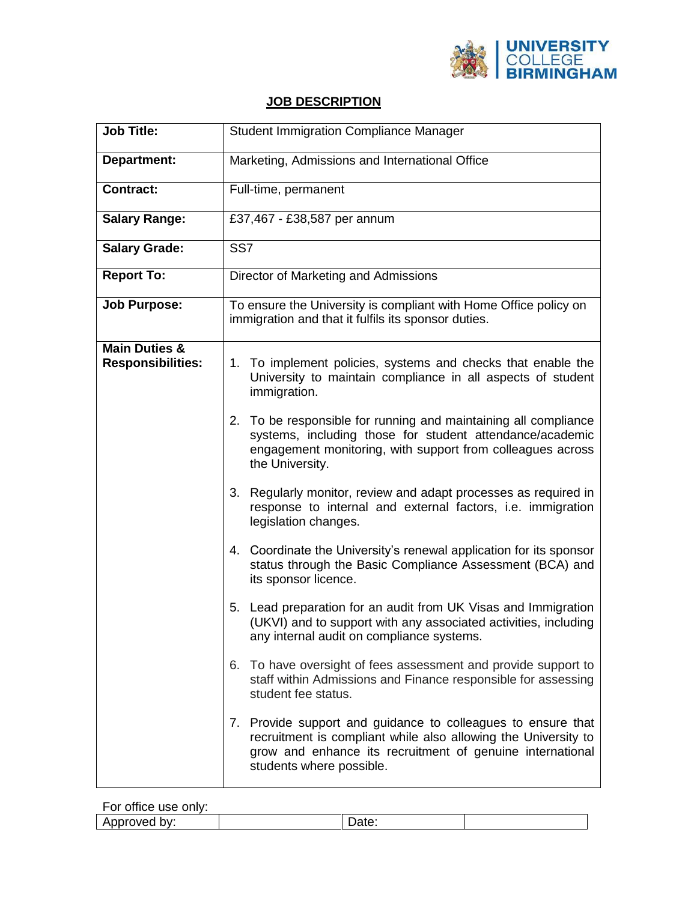

## **JOB DESCRIPTION**

| <b>Job Title:</b>                                    | <b>Student Immigration Compliance Manager</b>                                                                                                                                                                           |  |
|------------------------------------------------------|-------------------------------------------------------------------------------------------------------------------------------------------------------------------------------------------------------------------------|--|
| <b>Department:</b>                                   | Marketing, Admissions and International Office                                                                                                                                                                          |  |
| <b>Contract:</b>                                     | Full-time, permanent                                                                                                                                                                                                    |  |
| <b>Salary Range:</b>                                 | £37,467 - £38,587 per annum                                                                                                                                                                                             |  |
| <b>Salary Grade:</b>                                 | SS <sub>7</sub>                                                                                                                                                                                                         |  |
| <b>Report To:</b>                                    | Director of Marketing and Admissions                                                                                                                                                                                    |  |
| <b>Job Purpose:</b>                                  | To ensure the University is compliant with Home Office policy on<br>immigration and that it fulfils its sponsor duties.                                                                                                 |  |
| <b>Main Duties &amp;</b><br><b>Responsibilities:</b> | 1. To implement policies, systems and checks that enable the<br>University to maintain compliance in all aspects of student<br>immigration.                                                                             |  |
|                                                      | To be responsible for running and maintaining all compliance<br>2.<br>systems, including those for student attendance/academic<br>engagement monitoring, with support from colleagues across<br>the University.         |  |
|                                                      | 3. Regularly monitor, review and adapt processes as required in<br>response to internal and external factors, i.e. immigration<br>legislation changes.                                                                  |  |
|                                                      | 4. Coordinate the University's renewal application for its sponsor<br>status through the Basic Compliance Assessment (BCA) and<br>its sponsor licence.                                                                  |  |
|                                                      | 5. Lead preparation for an audit from UK Visas and Immigration<br>(UKVI) and to support with any associated activities, including<br>any internal audit on compliance systems.                                          |  |
|                                                      | 6. To have oversight of fees assessment and provide support to<br>staff within Admissions and Finance responsible for assessing<br>student fee status.                                                                  |  |
|                                                      | 7. Provide support and guidance to colleagues to ensure that<br>recruitment is compliant while also allowing the University to<br>grow and enhance its recruitment of genuine international<br>students where possible. |  |

For office use only:

Approved by:  $\qquad \qquad \vert$  Date: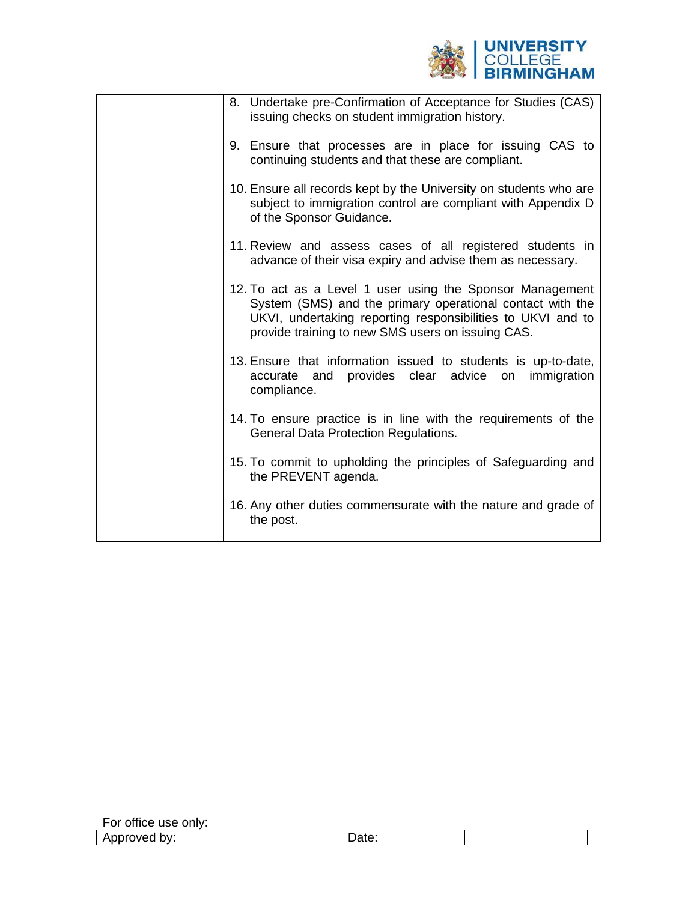

|  | 8. Undertake pre-Confirmation of Acceptance for Studies (CAS)<br>issuing checks on student immigration history.                                                                                                                            |
|--|--------------------------------------------------------------------------------------------------------------------------------------------------------------------------------------------------------------------------------------------|
|  | 9. Ensure that processes are in place for issuing CAS to<br>continuing students and that these are compliant.                                                                                                                              |
|  | 10. Ensure all records kept by the University on students who are<br>subject to immigration control are compliant with Appendix D<br>of the Sponsor Guidance.                                                                              |
|  | 11. Review and assess cases of all registered students in<br>advance of their visa expiry and advise them as necessary.                                                                                                                    |
|  | 12. To act as a Level 1 user using the Sponsor Management<br>System (SMS) and the primary operational contact with the<br>UKVI, undertaking reporting responsibilities to UKVI and to<br>provide training to new SMS users on issuing CAS. |
|  | 13. Ensure that information issued to students is up-to-date,<br>accurate and provides clear advice on immigration<br>compliance.                                                                                                          |
|  | 14. To ensure practice is in line with the requirements of the<br><b>General Data Protection Regulations.</b>                                                                                                                              |
|  | 15. To commit to upholding the principles of Safeguarding and<br>the PREVENT agenda.                                                                                                                                                       |
|  | 16. Any other duties commensurate with the nature and grade of<br>the post.                                                                                                                                                                |
|  |                                                                                                                                                                                                                                            |